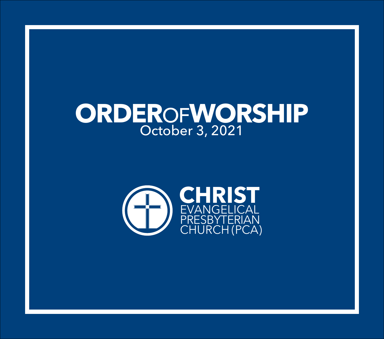# **ORDER**OF**WORSHIP** October 3, 2021

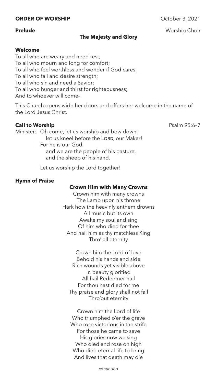# **ORDER OF WORSHIP** October 3, 2021

### **Prelude** Worship Choir

#### **The Majesty and Glory**

#### **Welcome**

To all who are weary and need rest; To all who mourn and long for comfort; To all who feel worthless and wonder if God cares; To all who fail and desire strength; To all who sin and need a Savior; To all who hunger and thirst for righteousness; And to whoever will come–

This Church opens wide her doors and offers her welcome in the name of the Lord Jesus Christ.

# **Call to Worship** Psalm 95:6-7

Minister: Oh come, let us worship and bow down; let us kneel before the LORD, our Maker! For he is our God, and we are the people of his pasture, and the sheep of his hand.

Let us worship the Lord together!

### **Hymn of Praise**

### **Crown Him with Many Crowns**

Crown him with many crowns The Lamb upon his throne Hark how the heav'nly anthem drowns All music but its own Awake my soul and sing Of him who died for thee And hail him as thy matchless King Thro' all eternity

Crown him the Lord of love Behold his hands and side Rich wounds yet visible above In beauty glorified All hail Redeemer hail For thou hast died for me Thy praise and glory shall not fail Thro'out eternity

Crown him the Lord of life Who triumphed o'er the grave Who rose victorious in the strife For those he came to save His glories now we sing Who died and rose on high Who died eternal life to bring And lives that death may die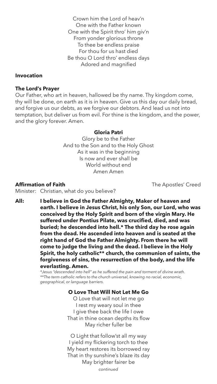Crown him the Lord of heav'n One with the Father known One with the Spirit thro' him giv'n From yonder glorious throne To thee be endless praise For thou for us hast died Be thou O Lord thro' endless days Adored and magnified

#### **Invocation**

#### **The Lord's Prayer**

Our Father, who art in heaven, hallowed be thy name. Thy kingdom come, thy will be done, on earth as it is in heaven. Give us this day our daily bread, and forgive us our debts, as we forgive our debtors. And lead us not into temptation, but deliver us from evil. For thine is the kingdom, and the power, and the glory forever. Amen.

#### **Gloria Patri**

Glory be to the Father And to the Son and to the Holy Ghost As it was in the beginning Is now and ever shall be World without end Amen Amen

#### **Affirmation of Faith** The Apostles' Creed

Minister: Christian, what do you believe?

**All: I believe in God the Father Almighty, Maker of heaven and earth. I believe in Jesus Christ, his only Son, our Lord, who was conceived by the Holy Spirit and born of the virgin Mary. He suffered under Pontius Pilate, was crucified, died, and was buried; he descended into hell.\* The third day he rose again from the dead. He ascended into heaven and is seated at the right hand of God the Father Almighty. From there he will come to judge the living and the dead. I believe in the Holy Spirit, the holy catholic\*\* church, the communion of saints, the forgiveness of sins, the resurrection of the body, and the life everlasting. Amen.**

*\*Jesus "descended into hell" as he suffered the pain and torment of divine wrath. \*\*The term catholic refers to the church universal, knowing no racial, economic, geographical, or language barriers.*

### **O Love That Will Not Let Me Go**

O Love that will not let me go I rest my weary soul in thee I give thee back the life I owe That in thine ocean depths its flow May richer fuller be

O Light that follow'st all my way I yield my flickering torch to thee My heart restores its borrowed ray That in thy sunshine's blaze its day May brighter fairer be *continued*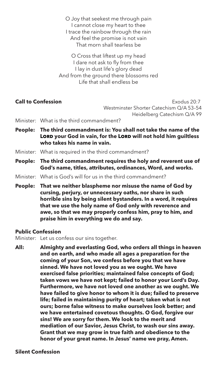O Joy that seekest me through pain I cannot close my heart to thee I trace the rainbow through the rain And feel the promise is not vain That morn shall tearless be

O Cross that liftest up my head I dare not ask to fly from thee I lay in dust life's glory dead And from the ground there blossoms red Life that shall endless be

**Call to Confession Exodus 20:7** Westminster Shorter Catechism Q/A 53–54 Heidelberg Catechism Q/A 99

- Minister: What is the third commandment?
- **People: The third commandment is: You shall not take the name of the**  LORD your God in vain, for the LORD will not hold him guiltless **who takes his name in vain.**
- Minister: What is required in the third commandment?
- **People: The third commandment requires the holy and reverent use of God's name, titles, attributes, ordinances, Word, and works.**
- Minister: What is God's will for us in the third commandment?
- **People: That we neither blaspheme nor misuse the name of God by cursing, perjury, or unnecessary oaths, nor share in such horrible sins by being silent bystanders. In a word, it requires that we use the holy name of God only with reverence and awe, so that we may properly confess him, pray to him, and praise him in everything we do and say.**

# **Public Confession**

Minister: Let us confess our sins together.

**All: Almighty and everlasting God, who orders all things in heaven and on earth, and who made all ages a preparation for the coming of your Son, we confess before you that we have sinned. We have not loved you as we ought. We have exercised false priorities; maintained false concepts of God; taken vows we have not kept; failed to honor your Lord's Day. Furthermore, we have not loved one another as we ought. We have failed to give honor to whom it is due; failed to preserve life; failed in maintaining purity of heart; taken what is not ours; borne false witness to make ourselves look better; and we have entertained covetous thoughts. O God, forgive our sins! We are sorry for them. We look to the merit and mediation of our Savior, Jesus Christ, to wash our sins away. Grant that we may grow in true faith and obedience to the honor of your great name. In Jesus' name we pray, Amen.**

### **Silent Confession**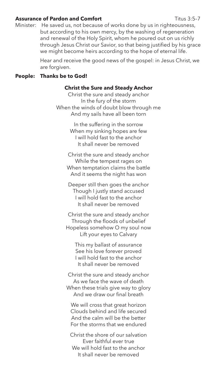#### **Assurance of Pardon and Comfort** Titus 3:5–7

Minister: He saved us, not because of works done by us in righteousness, but according to his own mercy, by the washing of regeneration and renewal of the Holy Spirit, whom he poured out on us richly through Jesus Christ our Savior, so that being justified by his grace we might become heirs according to the hope of eternal life.

> Hear and receive the good news of the gospel: in Jesus Christ, we are forgiven.

# **People: Thanks be to God!**

#### **Christ the Sure and Steady Anchor**

Christ the sure and steady anchor In the fury of the storm When the winds of doubt blow through me And my sails have all been torn

> In the suffering in the sorrow When my sinking hopes are few I will hold fast to the anchor It shall never be removed

Christ the sure and steady anchor While the tempest rages on When temptation claims the battle And it seems the night has won

Deeper still then goes the anchor Though I justly stand accused I will hold fast to the anchor It shall never be removed

Christ the sure and steady anchor Through the floods of unbelief Hopeless somehow O my soul now Lift your eyes to Calvary

> This my ballast of assurance See his love forever proved I will hold fast to the anchor It shall never be removed

Christ the sure and steady anchor As we face the wave of death When these trials give way to glory And we draw our final breath

We will cross that great horizon Clouds behind and life secured And the calm will be the better For the storms that we endured

Christ the shore of our salvation Ever faithful ever true We will hold fast to the anchor It shall never be removed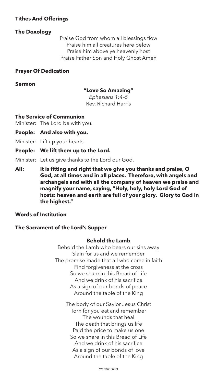# **Tithes And Offerings**

# **The Doxology**

Praise God from whom all blessings flow Praise him all creatures here below Praise him above ye heavenly host Praise Father Son and Holy Ghost Amen

# **Prayer Of Dedication**

# **Sermon**

# **"Love So Amazing"**

*Ephesians 1:4–5* Rev. Richard Harris

# **The Service of Communion**

Minister: The Lord be with you.

- **People: And also with you.**
- Minister: Lift up your hearts.
- **People: We lift them up to the Lord.**
- Minister: Let us give thanks to the Lord our God.
- **All: It is fitting and right that we give you thanks and praise, O God, at all times and in all places. Therefore, with angels and archangels and with all the company of heaven we praise and magnify your name, saying, "Holy, holy, holy Lord God of hosts: heaven and earth are full of your glory. Glory to God in the highest."**

# **Words of Institution**

# **The Sacrament of the Lord's Supper**

### **Behold the Lamb**

Behold the Lamb who bears our sins away Slain for us and we remember The promise made that all who come in faith Find forgiveness at the cross So we share in this Bread of Life And we drink of his sacrifice As a sign of our bonds of peace Around the table of the King

> The body of our Savior Jesus Christ Torn for you eat and remember The wounds that heal The death that brings us life Paid the price to make us one So we share in this Bread of Life And we drink of his sacrifice As a sign of our bonds of love Around the table of the King